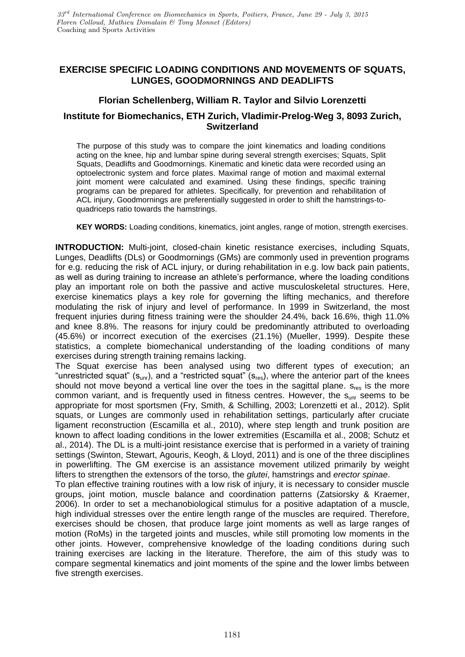# **EXERCISE SPECIFIC LOADING CONDITIONS AND MOVEMENTS OF SQUATS, LUNGES, GOODMORNINGS AND DEADLIFTS**

## **Florian Schellenberg, William R. Taylor and Silvio Lorenzetti**

## **Institute for Biomechanics, ETH Zurich, Vladimir-Prelog-Weg 3, 8093 Zurich, Switzerland**

The purpose of this study was to compare the joint kinematics and loading conditions acting on the knee, hip and lumbar spine during several strength exercises; Squats, Split Squats, Deadlifts and Goodmornings. Kinematic and kinetic data were recorded using an optoelectronic system and force plates. Maximal range of motion and maximal external joint moment were calculated and examined. Using these findings, specific training programs can be prepared for athletes. Specifically, for prevention and rehabilitation of ACL injury, Goodmornings are preferentially suggested in order to shift the hamstrings-toquadriceps ratio towards the hamstrings.

**KEY WORDS:** Loading conditions, kinematics, joint angles, range of motion, strength exercises.

**INTRODUCTION:** Multi-joint, closed-chain kinetic resistance exercises, including Squats, Lunges, Deadlifts (DLs) or Goodmornings (GMs) are commonly used in prevention programs for e.g. reducing the risk of ACL injury, or during rehabilitation in e.g. low back pain patients, as well as during training to increase an athlete's performance, where the loading conditions play an important role on both the passive and active musculoskeletal structures. Here, exercise kinematics plays a key role for governing the lifting mechanics, and therefore modulating the risk of injury and level of performance. In 1999 in Switzerland, the most frequent injuries during fitness training were the shoulder 24.4%, back 16.6%, thigh 11.0% and knee 8.8%. The reasons for injury could be predominantly attributed to overloading (45.6%) or incorrect execution of the exercises (21.1%) (Mueller, 1999). Despite these statistics, a complete biomechanical understanding of the loading conditions of many exercises during strength training remains lacking.

The Squat exercise has been analysed using two different types of execution; an "unrestricted squat" ( $s_{unr}$ ), and a "restricted squat" ( $s_{res}$ ), where the anterior part of the knees should not move beyond a vertical line over the toes in the sagittal plane.  $s_{res}$  is the more common variant, and is frequently used in fitness centres. However, the  $s_{unr}$  seems to be appropriate for most sportsmen (Fry, Smith, & Schilling, 2003; Lorenzetti et al., 2012). Split squats, or Lunges are commonly used in rehabilitation settings, particularly after cruciate ligament reconstruction (Escamilla et al., 2010), where step length and trunk position are known to affect loading conditions in the lower extremities (Escamilla et al., 2008; Schutz et al., 2014). The DL is a multi-joint resistance exercise that is performed in a variety of training settings (Swinton, Stewart, Agouris, Keogh, & Lloyd, 2011) and is one of the three disciplines in powerlifting. The GM exercise is an assistance movement utilized primarily by weight lifters to strengthen the extensors of the torso, the *glutei*, hamstrings and *erector spinae*.

To plan effective training routines with a low risk of injury, it is necessary to consider muscle groups, joint motion, muscle balance and coordination patterns (Zatsiorsky & Kraemer, 2006). In order to set a mechanobiological stimulus for a positive adaptation of a muscle, high individual stresses over the entire length range of the muscles are required. Therefore, exercises should be chosen, that produce large joint moments as well as large ranges of motion (RoMs) in the targeted joints and muscles, while still promoting low moments in the other joints. However, comprehensive knowledge of the loading conditions during such training exercises are lacking in the literature. Therefore, the aim of this study was to compare segmental kinematics and joint moments of the spine and the lower limbs between five strength exercises.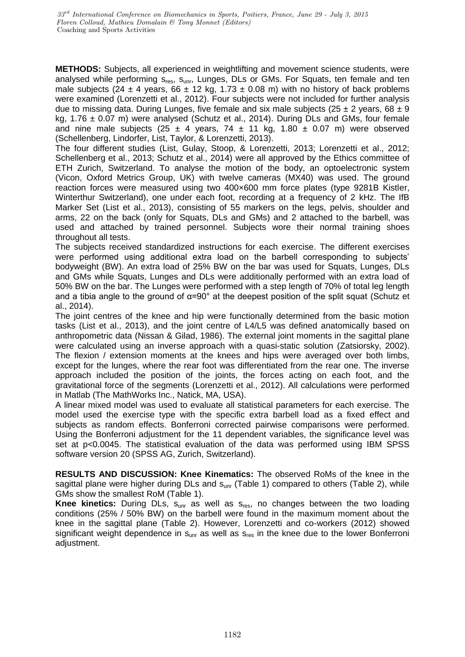**METHODS:** Subjects, all experienced in weightlifting and movement science students, were analysed while performing s<sub>res</sub>, s<sub>unr</sub>, Lunges, DLs or GMs. For Squats, ten female and ten male subjects (24  $\pm$  4 years, 66  $\pm$  12 kg, 1.73  $\pm$  0.08 m) with no history of back problems were examined (Lorenzetti et al., 2012). Four subjects were not included for further analysis due to missing data. During Lunges, five female and six male subjects (25  $\pm$  2 years, 68  $\pm$  9 kg,  $1.76 \pm 0.07$  m) were analysed (Schutz et al., 2014). During DLs and GMs, four female and nine male subjects (25  $\pm$  4 years, 74  $\pm$  11 kg, 1.80  $\pm$  0.07 m) were observed (Schellenberg, Lindorfer, List, Taylor, & Lorenzetti, 2013).

The four different studies (List, Gulay, Stoop, & Lorenzetti, 2013; Lorenzetti et al., 2012; Schellenberg et al., 2013; Schutz et al., 2014) were all approved by the Ethics committee of ETH Zurich, Switzerland. To analyse the motion of the body, an optoelectronic system (Vicon, Oxford Metrics Group, UK) with twelve cameras (MX40) was used. The ground reaction forces were measured using two 400×600 mm force plates (type 9281B Kistler, Winterthur Switzerland), one under each foot, recording at a frequency of 2 kHz. The IfB Marker Set (List et al., 2013), consisting of 55 markers on the legs, pelvis, shoulder and arms, 22 on the back (only for Squats, DLs and GMs) and 2 attached to the barbell, was used and attached by trained personnel. Subjects wore their normal training shoes throughout all tests.

The subjects received standardized instructions for each exercise. The different exercises were performed using additional extra load on the barbell corresponding to subjects' bodyweight (BW). An extra load of 25% BW on the bar was used for Squats, Lunges, DLs and GMs while Squats, Lunges and DLs were additionally performed with an extra load of 50% BW on the bar. The Lunges were performed with a step length of 70% of total leg length and a tibia angle to the ground of  $\alpha = 90^\circ$  at the deepest position of the split squat (Schutz et al., 2014).

The joint centres of the knee and hip were functionally determined from the basic motion tasks (List et al., 2013), and the joint centre of L4/L5 was defined anatomically based on anthropometric data (Nissan & Gilad, 1986). The external joint moments in the sagittal plane were calculated using an inverse approach with a quasi-static solution (Zatsiorsky, 2002). The flexion / extension moments at the knees and hips were averaged over both limbs, except for the lunges, where the rear foot was differentiated from the rear one. The inverse approach included the position of the joints, the forces acting on each foot, and the gravitational force of the segments (Lorenzetti et al., 2012). All calculations were performed in Matlab (The MathWorks Inc., Natick, MA, USA).

A linear mixed model was used to evaluate all statistical parameters for each exercise. The model used the exercise type with the specific extra barbell load as a fixed effect and subjects as random effects. Bonferroni corrected pairwise comparisons were performed. Using the Bonferroni adjustment for the 11 dependent variables, the significance level was set at p<0.0045. The statistical evaluation of the data was performed using IBM SPSS software version 20 (SPSS AG, Zurich, Switzerland).

**RESULTS AND DISCUSSION: Knee Kinematics:** The observed RoMs of the knee in the sagittal plane were higher during DLs and s<sub>unr</sub> (Table 1) compared to others (Table 2), while GMs show the smallest RoM (Table 1).

**Knee kinetics:** During DLs, s<sub>unr</sub> as well as s<sub>res</sub>, no changes between the two loading conditions (25% / 50% BW) on the barbell were found in the maximum moment about the knee in the sagittal plane (Table 2). However, Lorenzetti and co-workers (2012) showed significant weight dependence in  $s_{\text{unr}}$  as well as  $s_{\text{res}}$  in the knee due to the lower Bonferroni adiustment.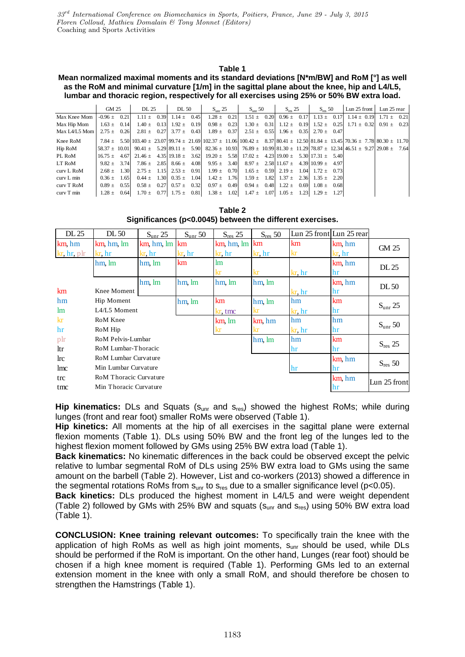### **Table 1**

#### **Mean normalized maximal moments and its standard deviations [N\*m/BW] and RoM [°] as well as the RoM and minimal curvature [1/m] in the sagittal plane about the knee, hip and L4/L5, lumbar and thoracic region, respectively for all exercises using 25% or 50% BW extra load.**

|               | GM 25           |  | DL 25           |  | DL 50                             |  | $S_{\text{unr}} 25$ |  | $S_{\text{unr}}$ 50                                                                                                    |  | $S_{\text{res}}$ 25                             |  | $S_{\text{rec}}$ 50 |  | Lun $25$ front                                                                                                                                                    |  | Lun 25 rear |  |
|---------------|-----------------|--|-----------------|--|-----------------------------------|--|---------------------|--|------------------------------------------------------------------------------------------------------------------------|--|-------------------------------------------------|--|---------------------|--|-------------------------------------------------------------------------------------------------------------------------------------------------------------------|--|-------------|--|
| Max Knee Mom  | $-0.96 + 0.21$  |  | $1.11 \pm 0.39$ |  | $1.14 \pm 0.45$                   |  | $1.28 \pm 0.21$     |  |                                                                                                                        |  |                                                 |  |                     |  | $1.51 \pm 0.20$ $0.96 \pm 0.17$ $1.13 \pm 0.17$ $1.14 \pm 0.19$ $1.71 \pm 0.21$                                                                                   |  |             |  |
| Max Hip Mom   | $1.63 \pm 0.14$ |  |                 |  | $1.40 \pm 0.13$ $1.92 \pm 0.19$   |  | $0.98 \pm 0.23$     |  |                                                                                                                        |  |                                                 |  |                     |  | $1.30 \pm 0.31$ $1.12 \pm 0.19$ $1.52 \pm 0.25$ $1.71 \pm 0.32$ $0.91 \pm 0.23$                                                                                   |  |             |  |
| Max L4/L5 Mom | $2.75 \pm 0.26$ |  |                 |  | $2.81 \pm 0.27$ $3.77 \pm 0.43$   |  | $1.89 \pm 0.37$     |  |                                                                                                                        |  | $2.51 \pm 0.55$ $1.96 \pm 0.35$ $2.70 \pm 0.47$ |  |                     |  |                                                                                                                                                                   |  |             |  |
| Knee RoM      |                 |  |                 |  |                                   |  |                     |  |                                                                                                                        |  |                                                 |  |                     |  | $7.84 \pm 5.50$ $103.40 \pm 23.07$ $99.74 \pm 21.69$ $102.37 \pm 11.06$ $100.42 \pm 8.37$ $180.41 \pm 12.50$ $81.84 \pm 13.45$ $70.36 \pm 7.78$ $80.30 \pm 11.70$ |  |             |  |
| Hip RoM       |                 |  |                 |  |                                   |  |                     |  |                                                                                                                        |  |                                                 |  |                     |  | $58.37 \pm 10.01$ 90.41 $\pm 5.29$ 89.11 $\pm 5.90$ 82.36 $\pm 10.93$ 76.89 $\pm 10.99$ 81.30 $\pm 11.29$ 78.87 $\pm 12.34$ 46.51 $\pm 9.27$ 29.08 $\pm 7.64$     |  |             |  |
| PL RoM        |                 |  |                 |  |                                   |  |                     |  | $16.75 \pm 4.67$ 21.46 $\pm 4.35$ 19.18 $\pm 3.62$ 19.20 $\pm 5.58$ 17.02 $\pm 4.23$ 19.00 $\pm 5.30$ 17.31 $\pm 5.40$ |  |                                                 |  |                     |  |                                                                                                                                                                   |  |             |  |
| LT RoM        | $9.82 + 3.74$   |  |                 |  |                                   |  |                     |  | $7.86 \pm 2.85$ $8.66 \pm 4.08$ $9.95 \pm 3.40$ $8.97 \pm 2.58$ $11.67 \pm 4.39$ $10.99 \pm 4.97$                      |  |                                                 |  |                     |  |                                                                                                                                                                   |  |             |  |
| curv L RoM    | $2.68 + 1.30$   |  |                 |  | $2.75 \pm 1.15$ $2.53 \pm 0.91$   |  | $1.99 \pm 0.70$     |  |                                                                                                                        |  | $1.65 \pm 0.59$ $2.19 \pm 1.04$ $1.72 \pm 0.73$ |  |                     |  |                                                                                                                                                                   |  |             |  |
| $curv L$ min  | $0.36 + 1.65$   |  |                 |  | $0.44 \pm 1.30 \pm 0.35 \pm 1.04$ |  | $1.42 \pm 1.76$     |  |                                                                                                                        |  | $1.59 \pm 1.82$ $1.37 \pm 2.36$ $1.35 \pm 2.20$ |  |                     |  |                                                                                                                                                                   |  |             |  |
| curv T RoM    | $0.89 + 0.55$   |  |                 |  | $0.58 \pm 0.27$ $0.57 \pm 0.32$   |  | $0.97 \pm 0.49$     |  |                                                                                                                        |  | $0.94 \pm 0.48$ $1.22 \pm 0.69$ $1.08 \pm 0.68$ |  |                     |  |                                                                                                                                                                   |  |             |  |
| $curv T$ min  | $1.28 \pm 0.64$ |  |                 |  | $1.70 \pm 0.77$ $1.75 \pm 0.81$   |  | $1.38 \pm 1.02$     |  |                                                                                                                        |  | $1.47 \pm 1.07$ $1.05 \pm 1.23$ $1.29 \pm 1.27$ |  |                     |  |                                                                                                                                                                   |  |             |  |

**Table 2 Significances (p<0.0045) between the different exercises.**

| Table 2<br>Significances (p<0.0045) between the different exercises. |                            |                  |                     |               |              |                          |        |                     |  |  |
|----------------------------------------------------------------------|----------------------------|------------------|---------------------|---------------|--------------|--------------------------|--------|---------------------|--|--|
| DL 25                                                                | DL 50                      | $S_{\rm unr}$ 25 | $S_{\text{unr}}$ 50 | $S_{res}$ 25  | $S_{res}$ 50 | Lun 25 front Lun 25 rear |        |                     |  |  |
| km, hm                                                               | km hm lm                   | $km, hm, lm$ km  |                     | km, hm, lm km |              | km                       | km hm  | GM 25               |  |  |
| $kr$ , hr, p $lr$                                                    | kr, hr                     | kr, hr           | $kr$ , $hr$         | kr, hr        | kr, hr       | kr                       | kr, hr |                     |  |  |
|                                                                      | hm, lm                     | hm, lm           | km                  | <sub>Im</sub> |              |                          | km hm  | DL 25               |  |  |
|                                                                      |                            |                  |                     | kr            | kr           | $kr$ , $hr$              | hr     |                     |  |  |
|                                                                      |                            | hm lm            | hm, lm              | hm, lm        | hm, lm       |                          | km hm  | DL50                |  |  |
| km                                                                   | Knee Moment                |                  |                     |               |              | $kr$ , $hr$              | hr     |                     |  |  |
| hm                                                                   | Hip Moment                 |                  | hm. lm              | km            | hm lm        | hm                       | km     | $S_{\text{unr}} 25$ |  |  |
| lm                                                                   | $L4/L5$ Moment             |                  |                     | kr tmc        | kr           | $kr$ , hr                | hr     |                     |  |  |
| kr                                                                   | RoM Knee                   |                  |                     | km lm         | km hm        | hm                       | hm     | $S_{\text{unr}}$ 50 |  |  |
| hr                                                                   | RoM Hip                    |                  |                     |               | kr           | $kr$ , $hr$              | hr     |                     |  |  |
| plr                                                                  | RoM Pelvis-Lumbar          |                  |                     |               | hm<br>hm, lm |                          |        | $S_{res}$ 25        |  |  |
| ltr                                                                  | RoM Lumbar-Thoracic<br>hr  |                  |                     |               |              |                          | hr     |                     |  |  |
| $\ln c$                                                              | RoM Lumbar Curvature       |                  |                     |               |              |                          | km, hm |                     |  |  |
| lmc                                                                  | Min Lumbar Curvature<br>hr |                  |                     |               |              |                          | hr     | $S_{res}$ 50        |  |  |
| trc                                                                  | RoM Thoracic Curvature     |                  |                     | km hm         | Lun 25 front |                          |        |                     |  |  |
| tmc                                                                  | Min Thoracic Curvature     |                  |                     |               |              |                          | hr     |                     |  |  |
|                                                                      |                            |                  |                     |               |              |                          |        |                     |  |  |

**Hip kinematics:** DLs and Squats (S<sub>unr</sub> and S<sub>res</sub>) showed the highest RoMs; while during lunges (front and rear foot) smaller RoMs were observed (Table 1).

**Hip kinetics:** All moments at the hip of all exercises in the sagittal plane were external flexion moments (Table 1). DLs using 50% BW and the front leg of the lunges led to the highest flexion moment followed by GMs using 25% BW extra load (Table 1).

**Back kinematics:** No kinematic differences in the back could be observed except the pelvic relative to lumbar segmental RoM of DLs using 25% BW extra load to GMs using the same amount on the barbell (Table 2). However, List and co-workers (2013) showed a difference in the segmental rotations RoMs from  $s_{unr}$  to  $s_{res}$  due to a smaller significance level (p<0.05).

**Back kinetics:** DLs produced the highest moment in L4/L5 and were weight dependent (Table 2) followed by GMs with 25% BW and squats ( $s_{unr}$  and  $s_{res}$ ) using 50% BW extra load (Table 1).

**CONCLUSION: Knee training relevant outcomes:** To specifically train the knee with the application of high RoMs as well as high joint moments,  $s_{\text{unr}}$  should be used, while DLs should be performed if the RoM is important. On the other hand, Lunges (rear foot) should be chosen if a high knee moment is required (Table 1). Performing GMs led to an external extension moment in the knee with only a small RoM, and should therefore be chosen to strengthen the Hamstrings (Table 1).